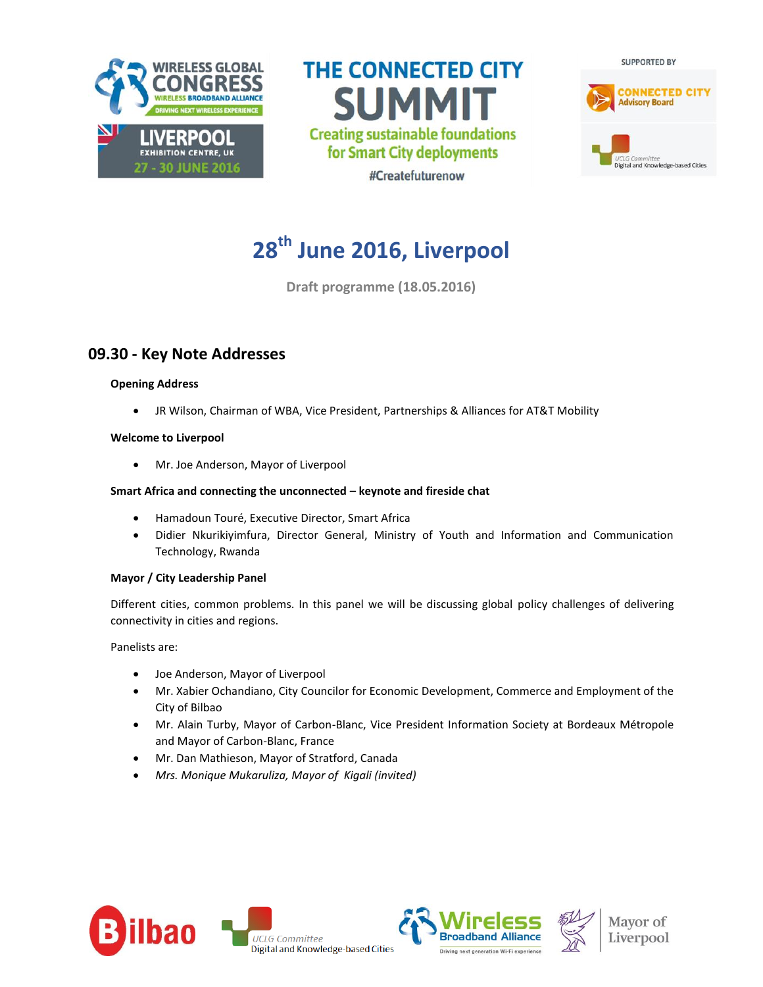

**THE CONNECTED CITY SUMMIT Creating sustainable foundations** for Smart City deployments #Createfuturenow



# **28th June 2016, Liverpool**

**Draft programme (18.05.2016)**

## **09.30 - Key Note Addresses**

## **Opening Address**

JR Wilson, Chairman of WBA, Vice President, Partnerships & Alliances for AT&T Mobility

#### **Welcome to Liverpool**

Mr. Joe Anderson, Mayor of Liverpool

### **Smart Africa and connecting the unconnected – keynote and fireside chat**

- Hamadoun Touré, Executive Director, Smart Africa
- Didier Nkurikiyimfura, Director General, Ministry of Youth and Information and Communication Technology, Rwanda

#### **Mayor / City Leadership Panel**

Different cities, common problems. In this panel we will be discussing global policy challenges of delivering connectivity in cities and regions.

Panelists are:

- Joe Anderson, Mayor of Liverpool
- Mr. Xabier Ochandiano, City Councilor for Economic Development, Commerce and Employment of the City of Bilbao
- Mr. Alain Turby, Mayor of Carbon-Blanc, Vice President Information Society at Bordeaux Métropole and Mayor of Carbon-Blanc, France
- Mr. Dan Mathieson, Mayor of Stratford, Canada
- *Mrs. Monique Mukaruliza, Mayor of Kigali (invited)*







Mayor of Liverpool